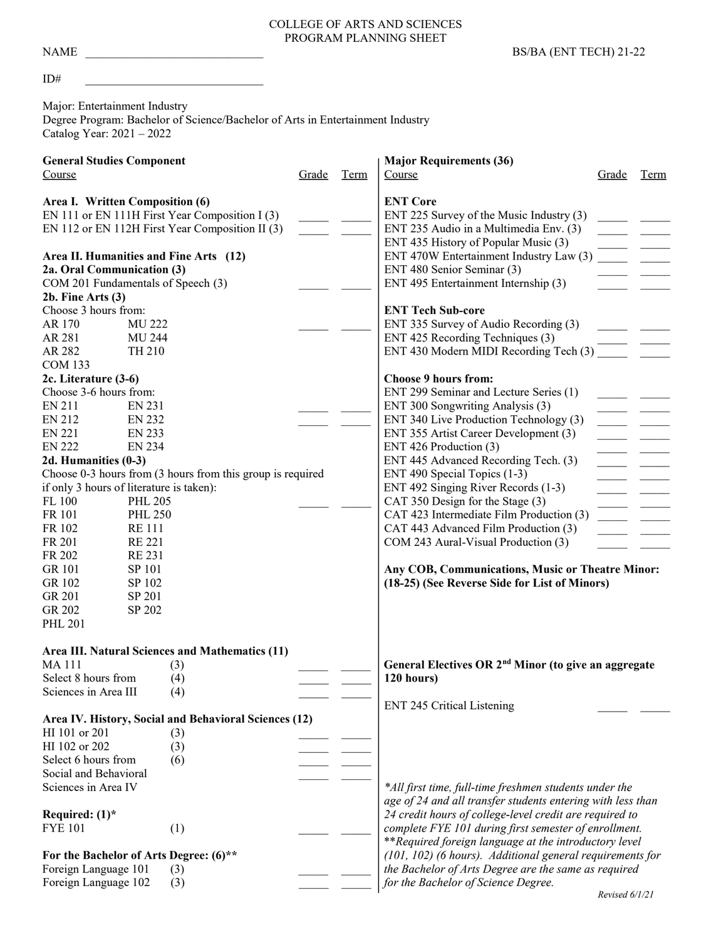#### COLLEGE OF ARTS AND SCIENCES PROGRAM PLANNING SHEET

#### $ID^{\#}$

Major: Entertainment Industry Degree Program: Bachelor of Science/Bachelor of Arts in Entertainment Industry Catalog Year: 2021 – 2022

| <b>General Studies Component</b>                               |                |     |       | <b>Major Requirements (36)</b>                            |                                                                                             |       |      |
|----------------------------------------------------------------|----------------|-----|-------|-----------------------------------------------------------|---------------------------------------------------------------------------------------------|-------|------|
| Course                                                         |                |     | Grade | Term                                                      | Course                                                                                      | Grade | Term |
| Area I. Written Composition (6)                                |                |     |       | <b>ENT Core</b>                                           |                                                                                             |       |      |
| EN 111 or EN 111H First Year Composition I (3)                 |                |     |       |                                                           | ENT 225 Survey of the Music Industry (3)                                                    |       |      |
| EN 112 or EN 112H First Year Composition II (3)                |                |     |       | ENT 235 Audio in a Multimedia Env. (3)                    |                                                                                             |       |      |
|                                                                |                |     |       |                                                           | ENT 435 History of Popular Music (3)                                                        |       |      |
| Area II. Humanities and Fine Arts (12)                         |                |     |       |                                                           | ENT 470W Entertainment Industry Law (3)                                                     |       |      |
| 2a. Oral Communication (3)                                     |                |     |       | ENT 480 Senior Seminar (3)                                |                                                                                             |       |      |
| COM 201 Fundamentals of Speech (3)                             |                |     |       |                                                           | ENT 495 Entertainment Internship (3)                                                        |       |      |
| $2b.$ Fine Arts $(3)$                                          |                |     |       |                                                           |                                                                                             |       |      |
| Choose 3 hours from:                                           |                |     |       |                                                           | <b>ENT Tech Sub-core</b>                                                                    |       |      |
| AR 170                                                         | <b>MU 222</b>  |     |       |                                                           | ENT 335 Survey of Audio Recording (3)                                                       |       |      |
| AR 281                                                         | <b>MU 244</b>  |     |       |                                                           | ENT 425 Recording Techniques (3)                                                            |       |      |
| AR 282                                                         | TH 210         |     |       |                                                           | ENT 430 Modern MIDI Recording Tech (3)                                                      |       |      |
| <b>COM 133</b>                                                 |                |     |       |                                                           |                                                                                             |       |      |
| 2c. Literature (3-6)                                           |                |     |       |                                                           | <b>Choose 9 hours from:</b>                                                                 |       |      |
| Choose 3-6 hours from:                                         |                |     |       |                                                           | ENT 299 Seminar and Lecture Series (1)                                                      |       |      |
| EN 211                                                         | EN 231         |     |       |                                                           | ENT 300 Songwriting Analysis (3)                                                            |       |      |
| <b>EN 212</b>                                                  | <b>EN 232</b>  |     |       |                                                           | ENT 340 Live Production Technology (3)                                                      |       |      |
| <b>EN 221</b>                                                  | <b>EN 233</b>  |     |       |                                                           | ENT 355 Artist Career Development (3)                                                       |       |      |
| <b>EN 222</b>                                                  | <b>EN 234</b>  |     |       |                                                           | ENT 426 Production (3)                                                                      |       |      |
| 2d. Humanities (0-3)                                           |                |     |       | ENT 445 Advanced Recording Tech. (3)                      |                                                                                             |       |      |
| Choose 0-3 hours from (3 hours from this group is required     |                |     |       | ENT 490 Special Topics (1-3)                              |                                                                                             |       |      |
| if only 3 hours of literature is taken):                       |                |     |       | ENT 492 Singing River Records (1-3)                       |                                                                                             |       |      |
| FL 100<br><b>PHL 205</b>                                       |                |     |       | CAT 350 Design for the Stage (3)                          |                                                                                             |       |      |
| FR 101                                                         | <b>PHL 250</b> |     |       |                                                           | CAT 423 Intermediate Film Production (3)                                                    |       |      |
| FR 102<br><b>RE111</b>                                         |                |     |       | CAT 443 Advanced Film Production (3)                      |                                                                                             |       |      |
| FR 201                                                         | <b>RE 221</b>  |     |       |                                                           | COM 243 Aural-Visual Production (3)                                                         |       |      |
| FR 202<br><b>RE231</b>                                         |                |     |       |                                                           |                                                                                             |       |      |
| <b>GR 101</b><br>SP 101                                        |                |     |       |                                                           | Any COB, Communications, Music or Theatre Minor:                                            |       |      |
| GR 102                                                         | SP 102         |     |       |                                                           | (18-25) (See Reverse Side for List of Minors)                                               |       |      |
| GR 201                                                         | SP 201         |     |       |                                                           |                                                                                             |       |      |
| GR 202                                                         | SP 202         |     |       |                                                           |                                                                                             |       |      |
| <b>PHL 201</b>                                                 |                |     |       |                                                           |                                                                                             |       |      |
| Area III. Natural Sciences and Mathematics (11)                |                |     |       |                                                           |                                                                                             |       |      |
| <b>MA111</b>                                                   |                | (3) |       |                                                           | General Electives OR 2 <sup>nd</sup> Minor (to give an aggregate                            |       |      |
| Select 8 hours from                                            |                | (4) |       |                                                           | 120 hours)                                                                                  |       |      |
| Sciences in Area III                                           |                | (4) |       |                                                           |                                                                                             |       |      |
|                                                                |                |     |       |                                                           | <b>ENT 245 Critical Listening</b>                                                           |       |      |
| Area IV. History, Social and Behavioral Sciences (12)          |                |     |       |                                                           |                                                                                             |       |      |
| HI 101 or 201                                                  |                | (3) |       |                                                           |                                                                                             |       |      |
| HI 102 or 202                                                  |                | (3) |       |                                                           |                                                                                             |       |      |
| Select 6 hours from                                            |                | (6) |       |                                                           |                                                                                             |       |      |
| Social and Behavioral                                          |                |     |       |                                                           |                                                                                             |       |      |
| Sciences in Area IV                                            |                |     |       |                                                           | *All first time, full-time freshmen students under the                                      |       |      |
|                                                                |                |     |       |                                                           | age of 24 and all transfer students entering with less than                                 |       |      |
| Required: $(1)^*$                                              |                |     |       |                                                           | 24 credit hours of college-level credit are required to                                     |       |      |
| <b>FYE 101</b>                                                 |                | (1) |       |                                                           | complete FYE 101 during first semester of enrollment.                                       |       |      |
|                                                                |                |     |       | **Required foreign language at the introductory level     |                                                                                             |       |      |
| For the Bachelor of Arts Degree: (6)**<br>Foreign Language 101 |                |     |       | (101, 102) (6 hours). Additional general requirements for |                                                                                             |       |      |
| Foreign Language 102                                           |                | (3) |       |                                                           | the Bachelor of Arts Degree are the same as required<br>for the Bachelor of Science Degree. |       |      |
|                                                                |                | (3) |       |                                                           |                                                                                             |       |      |